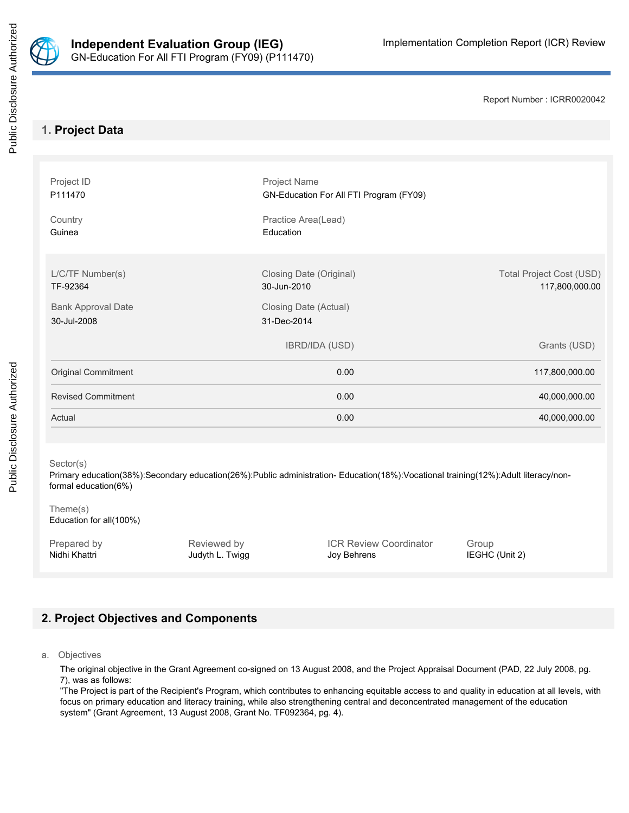

Public Disclosure Authorized

Report Number : ICRR0020042

# **1. Project Data**

| Project ID<br>P111470                    | Project Name<br>GN-Education For All FTI Program (FY09) |                                                   |
|------------------------------------------|---------------------------------------------------------|---------------------------------------------------|
| Country<br>Guinea                        | Practice Area(Lead)<br>Education                        |                                                   |
| L/C/TF Number(s)<br>TF-92364             | Closing Date (Original)<br>30-Jun-2010                  | <b>Total Project Cost (USD)</b><br>117,800,000.00 |
| <b>Bank Approval Date</b><br>30-Jul-2008 | Closing Date (Actual)<br>31-Dec-2014                    |                                                   |
|                                          | <b>IBRD/IDA (USD)</b>                                   | Grants (USD)                                      |
| Original Commitment                      | 0.00                                                    | 117,800,000.00                                    |
| <b>Revised Commitment</b>                | 0.00                                                    | 40,000,000.00                                     |
| Actual                                   | 0.00                                                    | 40,000,000.00                                     |

# Sector(s)

Primary education(38%):Secondary education(26%):Public administration- Education(18%):Vocational training(12%):Adult literacy/nonformal education(6%)

#### Theme(s) Education for all(100%)

Prepared by **Reviewed by** Reviewed by **ICR Review Coordinator** Group Nidhi Khattri **Michael Accord Studyth L. Twigg Community** Joy Behrens **IEGHC (Unit 2)** IEGHC (Unit 2)

# **2. Project Objectives and Components**

a. Objectives

The original objective in the Grant Agreement co-signed on 13 August 2008, and the Project Appraisal Document (PAD, 22 July 2008, pg. 7), was as follows:

"The Project is part of the Recipient's Program, which contributes to enhancing equitable access to and quality in education at all levels, with focus on primary education and literacy training, while also strengthening central and deconcentrated management of the education system" (Grant Agreement, 13 August 2008, Grant No. TF092364, pg. 4).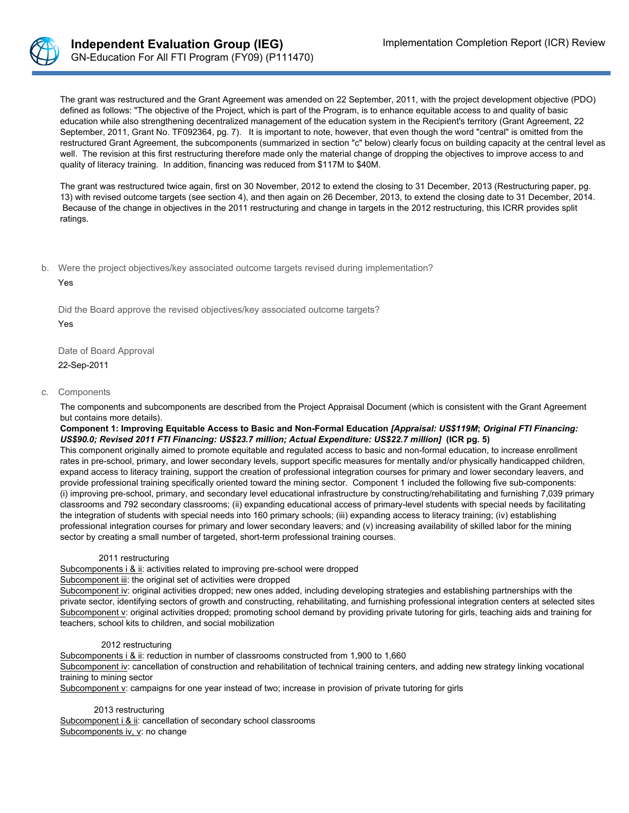

The grant was restructured and the Grant Agreement was amended on 22 September, 2011, with the project development objective (PDO) defined as follows: "The objective of the Project, which is part of the Program, is to enhance equitable access to and quality of basic education while also strengthening decentralized management of the education system in the Recipient's territory (Grant Agreement, 22 September, 2011, Grant No. TF092364, pg. 7). It is important to note, however, that even though the word "central" is omitted from the restructured Grant Agreement, the subcomponents (summarized in section "c" below) clearly focus on building capacity at the central level as well. The revision at this first restructuring therefore made only the material change of dropping the objectives to improve access to and quality of literacy training. In addition, financing was reduced from \$117M to \$40M.

The grant was restructured twice again, first on 30 November, 2012 to extend the closing to 31 December, 2013 (Restructuring paper, pg. 13) with revised outcome targets (see section 4), and then again on 26 December, 2013, to extend the closing date to 31 December, 2014. Because of the change in objectives in the 2011 restructuring and change in targets in the 2012 restructuring, this ICRR provides split ratings.

b. Were the project objectives/key associated outcome targets revised during implementation?

Yes

Did the Board approve the revised objectives/key associated outcome targets?

Yes

Date of Board Approval

22-Sep-2011

#### c. Components

The components and subcomponents are described from the Project Appraisal Document (which is consistent with the Grant Agreement but contains more details).

Component 1: Improving Equitable Access to Basic and Non-Formal Education [Appraisal: US\$119M; Original FTI Financing: *US\$90.0; Revised 2011 FTI Financing: US\$23.7 million; Actual Expenditure: US\$22.7 million]* **(ICR pg. 5)**

This component originally aimed to promote equitable and regulated access to basic and non-formal education, to increase enrollment rates in pre-school, primary, and lower secondary levels, support specific measures for mentally and/or physically handicapped children, expand access to literacy training, support the creation of professional integration courses for primary and lower secondary leavers, and provide professional training specifically oriented toward the mining sector. Component 1 included the following five sub-components: (i) improving pre-school, primary, and secondary level educational infrastructure by constructing/rehabilitating and furnishing 7,039 primary classrooms and 792 secondary classrooms; (ii) expanding educational access of primary-level students with special needs by facilitating the integration of students with special needs into 160 primary schools; (iii) expanding access to literacy training; (iv) establishing professional integration courses for primary and lower secondary leavers; and (v) increasing availability of skilled labor for the mining sector by creating a small number of targeted, short-term professional training courses.

#### 2011 restructuring

Subcomponents i & ii: activities related to improving pre-school were dropped

Subcomponent iii: the original set of activities were dropped

Subcomponent iv: original activities dropped; new ones added, including developing strategies and establishing partnerships with the private sector, identifying sectors of growth and constructing, rehabilitating, and furnishing professional integration centers at selected sites Subcomponent v: original activities dropped; promoting school demand by providing private tutoring for girls, teaching aids and training for teachers, school kits to children, and social mobilization

#### 2012 restructuring

Subcomponents i & ii: reduction in number of classrooms constructed from 1,900 to 1,660 Subcomponent iv: cancellation of construction and rehabilitation of technical training centers, and adding new strategy linking vocational training to mining sector

Subcomponent v: campaigns for one year instead of two; increase in provision of private tutoring for girls

2013 restructuring Subcomponent i & ii: cancellation of secondary school classrooms Subcomponents iv, v: no change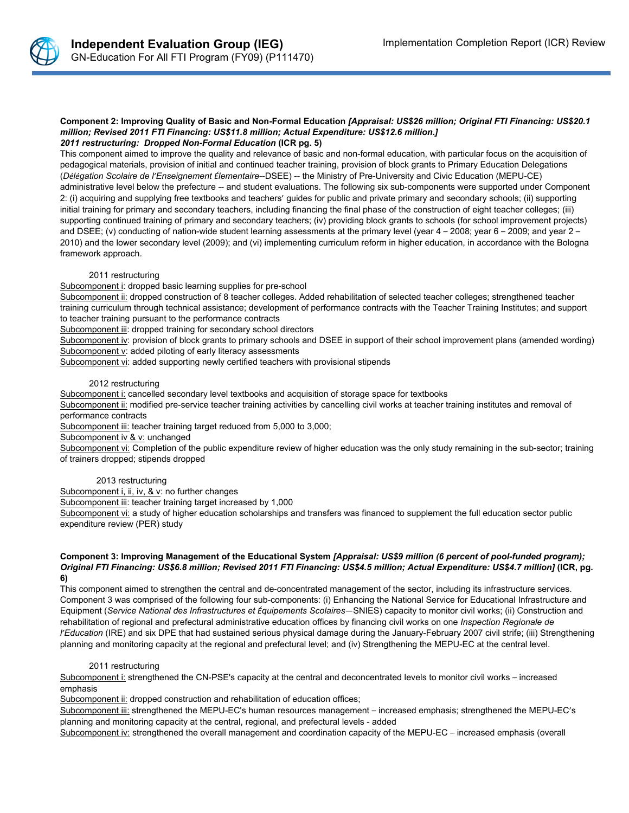

#### Component 2: Improving Quality of Basic and Non-Formal Education [Appraisal: US\$26 million; Original FTI Financing: US\$20.1 *million; Revised 2011 FTI Financing: US\$11.8 million; Actual Expenditure: US\$12.6 million.] 2011 restructuring: Dropped Non-Formal Education* **(ICR pg. 5)**

This component aimed to improve the quality and relevance of basic and non-formal education, with particular focus on the acquisition of pedagogical materials, provision of initial and continued teacher training, provision of block grants to Primary Education Delegations (*Délégation Scolaire de l'Enseignement Élementaire*--DSEE) -- the Ministry of Pre-University and Civic Education (MEPU-CE) administrative level below the prefecture -- and student evaluations. The following six sub-components were supported under Component 2: (i) acquiring and supplying free textbooks and teachers' guides for public and private primary and secondary schools; (ii) supporting initial training for primary and secondary teachers, including financing the final phase of the construction of eight teacher colleges; (iii) supporting continued training of primary and secondary teachers; (iv) providing block grants to schools (for school improvement projects) and DSEE; (v) conducting of nation-wide student learning assessments at the primary level (year 4 – 2008; year 6 – 2009; and year 2 – 2010) and the lower secondary level (2009); and (vi) implementing curriculum reform in higher education, in accordance with the Bologna framework approach.

#### 2011 restructuring

Subcomponent i: dropped basic learning supplies for pre-school

Subcomponent ii: dropped construction of 8 teacher colleges. Added rehabilitation of selected teacher colleges; strengthened teacher training curriculum through technical assistance; development of performance contracts with the Teacher Training Institutes; and support to teacher training pursuant to the performance contracts

Subcomponent iii: dropped training for secondary school directors

Subcomponent iv: provision of block grants to primary schools and DSEE in support of their school improvement plans (amended wording) Subcomponent v: added piloting of early literacy assessments

Subcomponent vi: added supporting newly certified teachers with provisional stipends

#### 2012 restructuring

Subcomponent i: cancelled secondary level textbooks and acquisition of storage space for textbooks

Subcomponent ii: modified pre-service teacher training activities by cancelling civil works at teacher training institutes and removal of performance contracts

Subcomponent iii: teacher training target reduced from 5,000 to 3,000;

Subcomponent iv & v: unchanged

Subcomponent vi: Completion of the public expenditure review of higher education was the only study remaining in the sub-sector; training of trainers dropped; stipends dropped

#### 2013 restructuring

Subcomponent i, ii, iv, & v: no further changes

Subcomponent iii: teacher training target increased by 1,000

Subcomponent vi: a study of higher education scholarships and transfers was financed to supplement the full education sector public expenditure review (PER) study

#### Component 3: Improving Management of the Educational System [Appraisal: US\$9 million (6 percent of pool-funded program); Original FTI Financing: US\$6.8 million; Revised 2011 FTI Financing: US\$4.5 million; Actual Expenditure: US\$4.7 million] (ICR, pg. **6)**

This component aimed to strengthen the central and de-concentrated management of the sector, including its infrastructure services. Component 3 was comprised of the following four sub-components: (i) Enhancing the National Service for Educational Infrastructure and Equipment (*Service National des Infrastructures et Équipements Scolaires*—SNIES) capacity to monitor civil works; (ii) Construction and rehabilitation of regional and prefectural administrative education offices by financing civil works on one *Inspection Regionale de l'Education* (IRE) and six DPE that had sustained serious physical damage during the January-February 2007 civil strife; (iii) Strengthening planning and monitoring capacity at the regional and prefectural level; and (iv) Strengthening the MEPU-EC at the central level.

#### 2011 restructuring

Subcomponent i: strengthened the CN-PSE's capacity at the central and deconcentrated levels to monitor civil works – increased emphasis

Subcomponent ii: dropped construction and rehabilitation of education offices;

Subcomponent iii: strengthened the MEPU-EC's human resources management – increased emphasis; strengthened the MEPU-EC's planning and monitoring capacity at the central, regional, and prefectural levels - added

Subcomponent iv: strengthened the overall management and coordination capacity of the MEPU-EC – increased emphasis (overall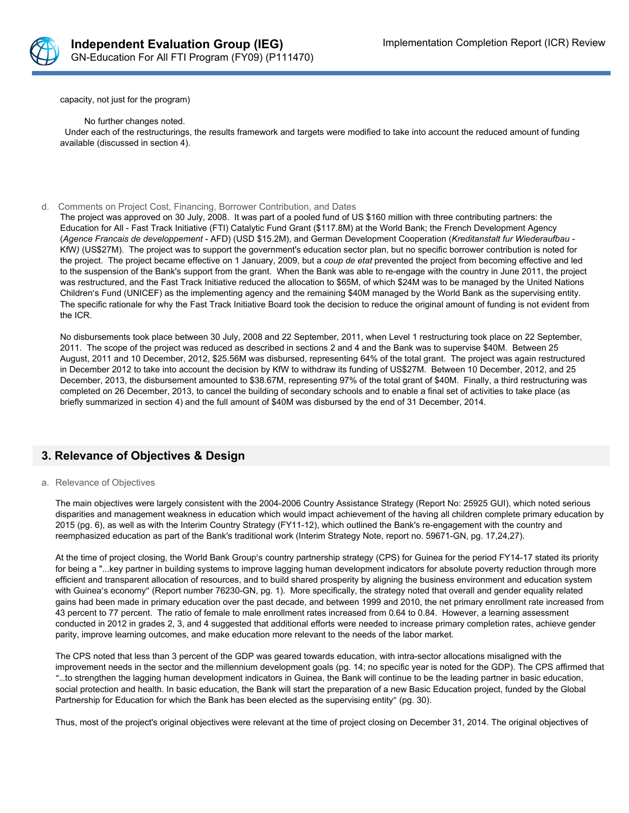

capacity, not just for the program)

No further changes noted. Under each of the restructurings, the results framework and targets were modified to take into account the reduced amount of funding available (discussed in section 4).

#### d. Comments on Project Cost, Financing, Borrower Contribution, and Dates

The project was approved on 30 July, 2008. It was part of a pooled fund of US \$160 million with three contributing partners: the Education for All - Fast Track Initiative (FTI) Catalytic Fund Grant (\$117.8M) at the World Bank; the French Development Agency (*Agence Francais de developpement* - AFD) (USD \$15.2M), and German Development Cooperation (*Kreditanstalt fur Wiederaufbau -* KfW*)* (US\$27M). The project was to support the government's education sector plan, but no specific borrower contribution is noted for the project. The project became effective on 1 January, 2009, but a *coup de etat* prevented the project from becoming effective and led to the suspension of the Bank's support from the grant. When the Bank was able to re-engage with the country in June 2011, the project was restructured, and the Fast Track Initiative reduced the allocation to \$65M, of which \$24M was to be managed by the United Nations Children's Fund (UNICEF) as the implementing agency and the remaining \$40M managed by the World Bank as the supervising entity. The specific rationale for why the Fast Track Initiative Board took the decision to reduce the original amount of funding is not evident from the ICR.

No disbursements took place between 30 July, 2008 and 22 September, 2011, when Level 1 restructuring took place on 22 September, 2011. The scope of the project was reduced as described in sections 2 and 4 and the Bank was to supervise \$40M. Between 25 August, 2011 and 10 December, 2012, \$25.56M was disbursed, representing 64% of the total grant. The project was again restructured in December 2012 to take into account the decision by KfW to withdraw its funding of US\$27M. Between 10 December, 2012, and 25 December, 2013, the disbursement amounted to \$38.67M, representing 97% of the total grant of \$40M. Finally, a third restructuring was completed on 26 December, 2013, to cancel the building of secondary schools and to enable a final set of activities to take place (as briefly summarized in section 4) and the full amount of \$40M was disbursed by the end of 31 December, 2014.

### **3. Relevance of Objectives & Design**

#### a. Relevance of Objectives

The main objectives were largely consistent with the 2004-2006 Country Assistance Strategy (Report No: 25925 GUI), which noted serious disparities and management weakness in education which would impact achievement of the having all children complete primary education by 2015 (pg. 6), as well as with the Interim Country Strategy (FY11-12), which outlined the Bank's re-engagement with the country and reemphasized education as part of the Bank's traditional work (Interim Strategy Note, report no. 59671-GN, pg. 17,24,27).

At the time of project closing, the World Bank Group's country partnership strategy (CPS) for Guinea for the period FY14-17 stated its priority for being a "...key partner in building systems to improve lagging human development indicators for absolute poverty reduction through more efficient and transparent allocation of resources, and to build shared prosperity by aligning the business environment and education system with Guinea's economy" (Report number 76230-GN, pg. 1). More specifically, the strategy noted that overall and gender equality related gains had been made in primary education over the past decade, and between 1999 and 2010, the net primary enrollment rate increased from 43 percent to 77 percent. The ratio of female to male enrollment rates increased from 0.64 to 0.84. However, a learning assessment conducted in 2012 in grades 2, 3, and 4 suggested that additional efforts were needed to increase primary completion rates, achieve gender parity, improve learning outcomes, and make education more relevant to the needs of the labor market.

The CPS noted that less than 3 percent of the GDP was geared towards education, with intra-sector allocations misaligned with the improvement needs in the sector and the millennium development goals (pg. 14; no specific year is noted for the GDP). The CPS affirmed that "…to strengthen the lagging human development indicators in Guinea, the Bank will continue to be the leading partner in basic education, social protection and health. In basic education, the Bank will start the preparation of a new Basic Education project, funded by the Global Partnership for Education for which the Bank has been elected as the supervising entity" (pg. 30).

Thus, most of the project's original objectives were relevant at the time of project closing on December 31, 2014. The original objectives of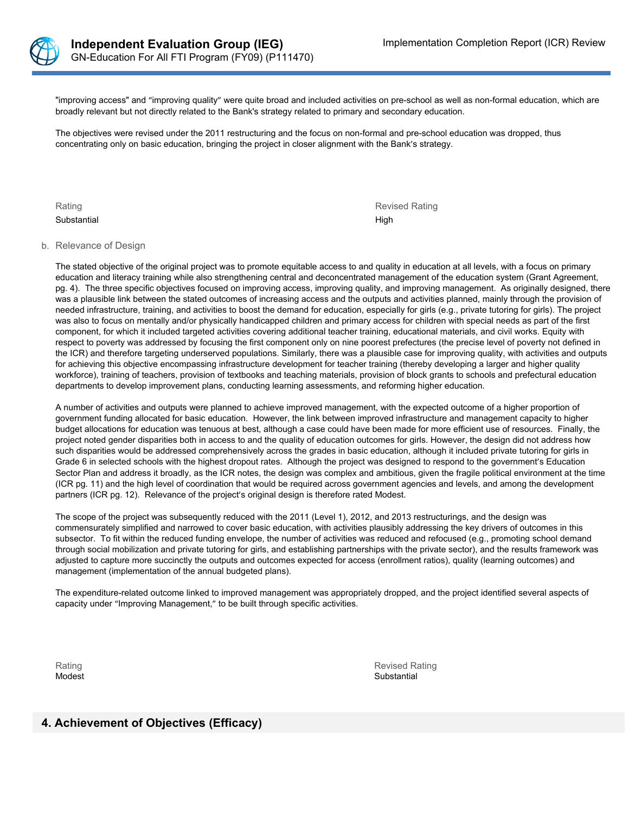

"improving access" and "improving quality" were quite broad and included activities on pre-school as well as non-formal education, which are broadly relevant but not directly related to the Bank's strategy related to primary and secondary education.

The objectives were revised under the 2011 restructuring and the focus on non-formal and pre-school education was dropped, thus concentrating only on basic education, bringing the project in closer alignment with the Bank's strategy.

Substantial High Control of the Control of the Control of the Control of the Control of the Control of the Control of the Control of the Control of the Control of the Control of the Control of the Control of the Control of

Rating Revised Rating

#### b. Relevance of Design

The stated objective of the original project was to promote equitable access to and quality in education at all levels, with a focus on primary education and literacy training while also strengthening central and deconcentrated management of the education system (Grant Agreement, pg. 4). The three specific objectives focused on improving access, improving quality, and improving management. As originally designed, there was a plausible link between the stated outcomes of increasing access and the outputs and activities planned, mainly through the provision of needed infrastructure, training, and activities to boost the demand for education, especially for girls (e.g., private tutoring for girls). The project was also to focus on mentally and/or physically handicapped children and primary access for children with special needs as part of the first component, for which it included targeted activities covering additional teacher training, educational materials, and civil works. Equity with respect to poverty was addressed by focusing the first component only on nine poorest prefectures (the precise level of poverty not defined in the ICR) and therefore targeting underserved populations. Similarly, there was a plausible case for improving quality, with activities and outputs for achieving this objective encompassing infrastructure development for teacher training (thereby developing a larger and higher quality workforce), training of teachers, provision of textbooks and teaching materials, provision of block grants to schools and prefectural education departments to develop improvement plans, conducting learning assessments, and reforming higher education.

A number of activities and outputs were planned to achieve improved management, with the expected outcome of a higher proportion of government funding allocated for basic education. However, the link between improved infrastructure and management capacity to higher budget allocations for education was tenuous at best, although a case could have been made for more efficient use of resources. Finally, the project noted gender disparities both in access to and the quality of education outcomes for girls. However, the design did not address how such disparities would be addressed comprehensively across the grades in basic education, although it included private tutoring for girls in Grade 6 in selected schools with the highest dropout rates. Although the project was designed to respond to the government's Education Sector Plan and address it broadly, as the ICR notes, the design was complex and ambitious, given the fragile political environment at the time (ICR pg. 11) and the high level of coordination that would be required across government agencies and levels, and among the development partners (ICR pg. 12). Relevance of the project's original design is therefore rated Modest.

The scope of the project was subsequently reduced with the 2011 (Level 1), 2012, and 2013 restructurings, and the design was commensurately simplified and narrowed to cover basic education, with activities plausibly addressing the key drivers of outcomes in this subsector. To fit within the reduced funding envelope, the number of activities was reduced and refocused (e.g., promoting school demand through social mobilization and private tutoring for girls, and establishing partnerships with the private sector), and the results framework was adjusted to capture more succinctly the outputs and outcomes expected for access (enrollment ratios), quality (learning outcomes) and management (implementation of the annual budgeted plans).

The expenditure-related outcome linked to improved management was appropriately dropped, and the project identified several aspects of capacity under "Improving Management," to be built through specific activities.

Rating **Revised Rating** Revised Rating **Revised Rating** Revised Rating **Revised Rating** Modest Substantial According to the Control of the Control of the Control of the Control of the Control of the Control of the Control of the Control of the Control of the Control of the Control of the Control of the Contro

# **4. Achievement of Objectives (Efficacy)**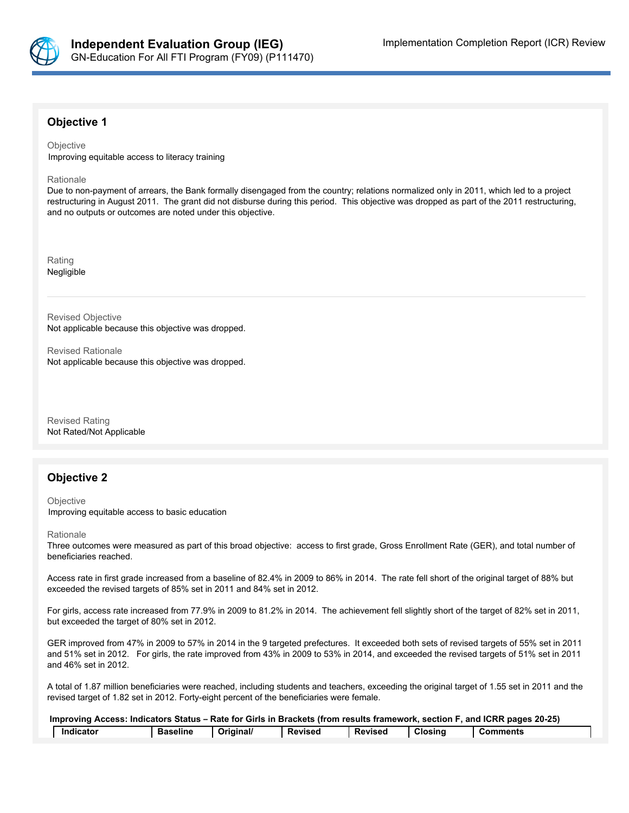

### **Objective 1**

**Objective** Improving equitable access to literacy training

Rationale

Due to non-payment of arrears, the Bank formally disengaged from the country; relations normalized only in 2011, which led to a project restructuring in August 2011. The grant did not disburse during this period. This objective was dropped as part of the 2011 restructuring, and no outputs or outcomes are noted under this objective.

Rating Negligible

Revised Objective Not applicable because this objective was dropped.

Revised Rationale Not applicable because this objective was dropped.

Revised Rating Not Rated/Not Applicable

### **Objective 2**

**Objective** Improving equitable access to basic education

Rationale

Three outcomes were measured as part of this broad objective: access to first grade, Gross Enrollment Rate (GER), and total number of beneficiaries reached.

Access rate in first grade increased from a baseline of 82.4% in 2009 to 86% in 2014. The rate fell short of the original target of 88% but exceeded the revised targets of 85% set in 2011 and 84% set in 2012.

For girls, access rate increased from 77.9% in 2009 to 81.2% in 2014. The achievement fell slightly short of the target of 82% set in 2011, but exceeded the target of 80% set in 2012.

GER improved from 47% in 2009 to 57% in 2014 in the 9 targeted prefectures. It exceeded both sets of revised targets of 55% set in 2011 and 51% set in 2012. For girls, the rate improved from 43% in 2009 to 53% in 2014, and exceeded the revised targets of 51% set in 2011 and 46% set in 2012.

A total of 1.87 million beneficiaries were reached, including students and teachers, exceeding the original target of 1.55 set in 2011 and the revised target of 1.82 set in 2012. Forty-eight percent of the beneficiaries were female.

| Improving Access: Indicators Status – Rate for Girls in Brackets (from results framework, section F, and ICRR pages 20-25) |                 |           |                |         |         |                   |
|----------------------------------------------------------------------------------------------------------------------------|-----------------|-----------|----------------|---------|---------|-------------------|
| Indicator                                                                                                                  | <b>Baseline</b> | Original/ | <b>Revised</b> | Revised | Closing | <b>I</b> Comments |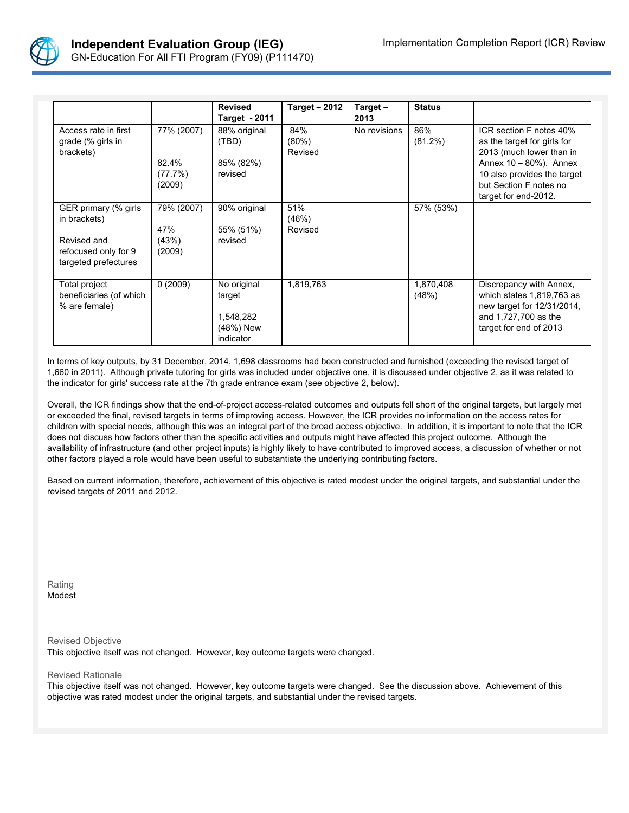

|                                                                                                     |                                          | <b>Revised</b><br><b>Target - 2011</b>                       | <b>Target - 2012</b>       | Target $-$<br>2013 | <b>Status</b>      |                                                                                                                                                                                               |
|-----------------------------------------------------------------------------------------------------|------------------------------------------|--------------------------------------------------------------|----------------------------|--------------------|--------------------|-----------------------------------------------------------------------------------------------------------------------------------------------------------------------------------------------|
| Access rate in first<br>grade (% girls in<br>brackets)                                              | 77% (2007)<br>82.4%<br>(77.7%)<br>(2009) | 88% original<br>(TBD)<br>85% (82%)<br>revised                | 84%<br>$(80\%)$<br>Revised | No revisions       | 86%<br>$(81.2\%)$  | ICR section F notes 40%<br>as the target for girls for<br>2013 (much lower than in<br>Annex 10 - 80%). Annex<br>10 also provides the target<br>but Section F notes no<br>target for end-2012. |
| GER primary (% girls<br>in brackets)<br>Revised and<br>refocused only for 9<br>targeted prefectures | 79% (2007)<br>47%<br>(43%)<br>(2009)     | 90% original<br>55% (51%)<br>revised                         | 51%<br>(46%)<br>Revised    |                    | 57% (53%)          |                                                                                                                                                                                               |
| Total project<br>beneficiaries (of which<br>% are female)                                           | 0(2009)                                  | No original<br>target<br>1,548,282<br>(48%) New<br>indicator | 1,819,763                  |                    | 1,870,408<br>(48%) | Discrepancy with Annex,<br>which states 1,819,763 as<br>new target for 12/31/2014,<br>and 1,727,700 as the<br>target for end of 2013                                                          |

In terms of key outputs, by 31 December, 2014, 1,698 classrooms had been constructed and furnished (exceeding the revised target of 1,660 in 2011). Although private tutoring for girls was included under objective one, it is discussed under objective 2, as it was related to the indicator for girls' success rate at the 7th grade entrance exam (see objective 2, below).

Overall, the ICR findings show that the end-of-project access-related outcomes and outputs fell short of the original targets, but largely met or exceeded the final, revised targets in terms of improving access. However, the ICR provides no information on the access rates for children with special needs, although this was an integral part of the broad access objective. In addition, it is important to note that the ICR does not discuss how factors other than the specific activities and outputs might have affected this project outcome. Although the availability of infrastructure (and other project inputs) is highly likely to have contributed to improved access, a discussion of whether or not other factors played a role would have been useful to substantiate the underlying contributing factors.

Based on current information, therefore, achievement of this objective is rated modest under the original targets, and substantial under the revised targets of 2011 and 2012.

Rating Modest

Revised Objective

This objective itself was not changed. However, key outcome targets were changed.

Revised Rationale

This objective itself was not changed. However, key outcome targets were changed. See the discussion above. Achievement of this objective was rated modest under the original targets, and substantial under the revised targets.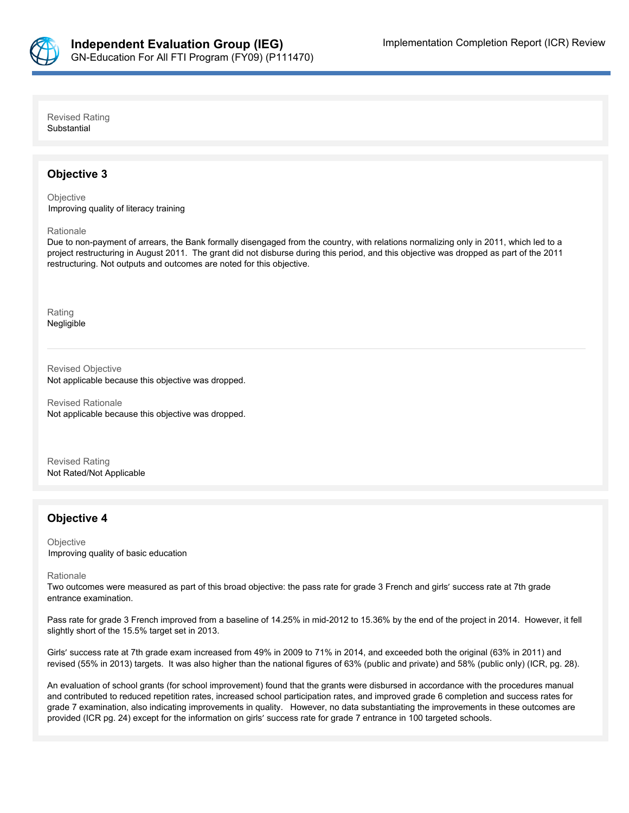

Revised Rating **Substantial** 

### **Objective 3**

**Objective** Improving quality of literacy training

Rationale

Due to non-payment of arrears, the Bank formally disengaged from the country, with relations normalizing only in 2011, which led to a project restructuring in August 2011. The grant did not disburse during this period, and this objective was dropped as part of the 2011 restructuring. Not outputs and outcomes are noted for this objective.

Rating Negligible

Revised Objective Not applicable because this objective was dropped.

Revised Rationale Not applicable because this objective was dropped.

Revised Rating Not Rated/Not Applicable

### **Objective 4**

**Objective** Improving quality of basic education

#### Rationale

Two outcomes were measured as part of this broad objective: the pass rate for grade 3 French and girls' success rate at 7th grade entrance examination.

Pass rate for grade 3 French improved from a baseline of 14.25% in mid-2012 to 15.36% by the end of the project in 2014. However, it fell slightly short of the 15.5% target set in 2013.

Girls' success rate at 7th grade exam increased from 49% in 2009 to 71% in 2014, and exceeded both the original (63% in 2011) and revised (55% in 2013) targets. It was also higher than the national figures of 63% (public and private) and 58% (public only) (ICR, pg. 28).

An evaluation of school grants (for school improvement) found that the grants were disbursed in accordance with the procedures manual and contributed to reduced repetition rates, increased school participation rates, and improved grade 6 completion and success rates for grade 7 examination, also indicating improvements in quality. However, no data substantiating the improvements in these outcomes are provided (ICR pg. 24) except for the information on girls' success rate for grade 7 entrance in 100 targeted schools.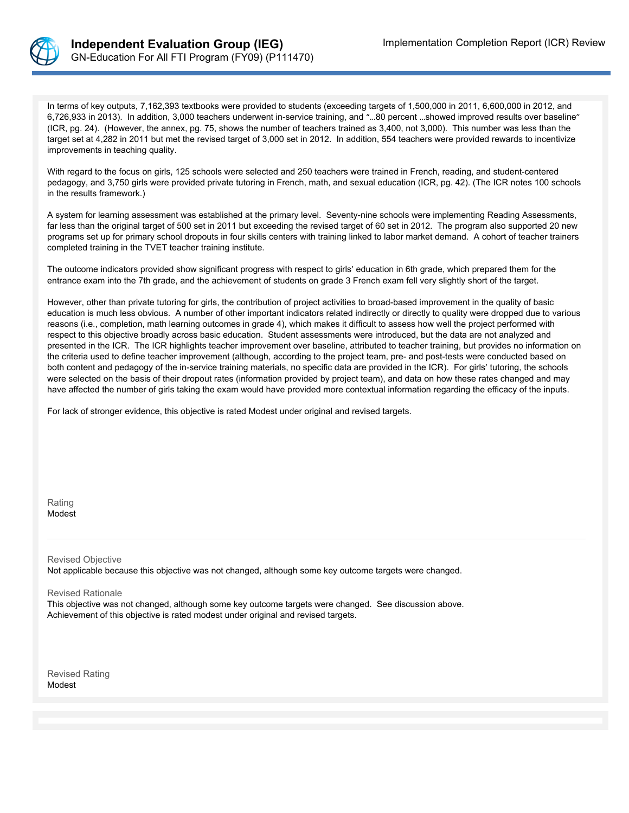

In terms of key outputs, 7,162,393 textbooks were provided to students (exceeding targets of 1,500,000 in 2011, 6,600,000 in 2012, and 6,726,933 in 2013). In addition, 3,000 teachers underwent in-service training, and "…80 percent …showed improved results over baseline" (ICR, pg. 24). (However, the annex, pg. 75, shows the number of teachers trained as 3,400, not 3,000). This number was less than the target set at 4,282 in 2011 but met the revised target of 3,000 set in 2012. In addition, 554 teachers were provided rewards to incentivize improvements in teaching quality.

With regard to the focus on girls, 125 schools were selected and 250 teachers were trained in French, reading, and student-centered pedagogy, and 3,750 girls were provided private tutoring in French, math, and sexual education (ICR, pg. 42). (The ICR notes 100 schools in the results framework.)

A system for learning assessment was established at the primary level. Seventy-nine schools were implementing Reading Assessments, far less than the original target of 500 set in 2011 but exceeding the revised target of 60 set in 2012. The program also supported 20 new programs set up for primary school dropouts in four skills centers with training linked to labor market demand. A cohort of teacher trainers completed training in the TVET teacher training institute.

The outcome indicators provided show significant progress with respect to girls' education in 6th grade, which prepared them for the entrance exam into the 7th grade, and the achievement of students on grade 3 French exam fell very slightly short of the target.

However, other than private tutoring for girls, the contribution of project activities to broad-based improvement in the quality of basic education is much less obvious. A number of other important indicators related indirectly or directly to quality were dropped due to various reasons (i.e., completion, math learning outcomes in grade 4), which makes it difficult to assess how well the project performed with respect to this objective broadly across basic education. Student assessments were introduced, but the data are not analyzed and presented in the ICR. The ICR highlights teacher improvement over baseline, attributed to teacher training, but provides no information on the criteria used to define teacher improvement (although, according to the project team, pre- and post-tests were conducted based on both content and pedagogy of the in-service training materials, no specific data are provided in the ICR). For girls' tutoring, the schools were selected on the basis of their dropout rates (information provided by project team), and data on how these rates changed and may have affected the number of girls taking the exam would have provided more contextual information regarding the efficacy of the inputs.

For lack of stronger evidence, this objective is rated Modest under original and revised targets.

Rating Modest

Revised Objective

Not applicable because this objective was not changed, although some key outcome targets were changed.

Revised Rationale

This objective was not changed, although some key outcome targets were changed. See discussion above. Achievement of this objective is rated modest under original and revised targets.

Revised Rating Modest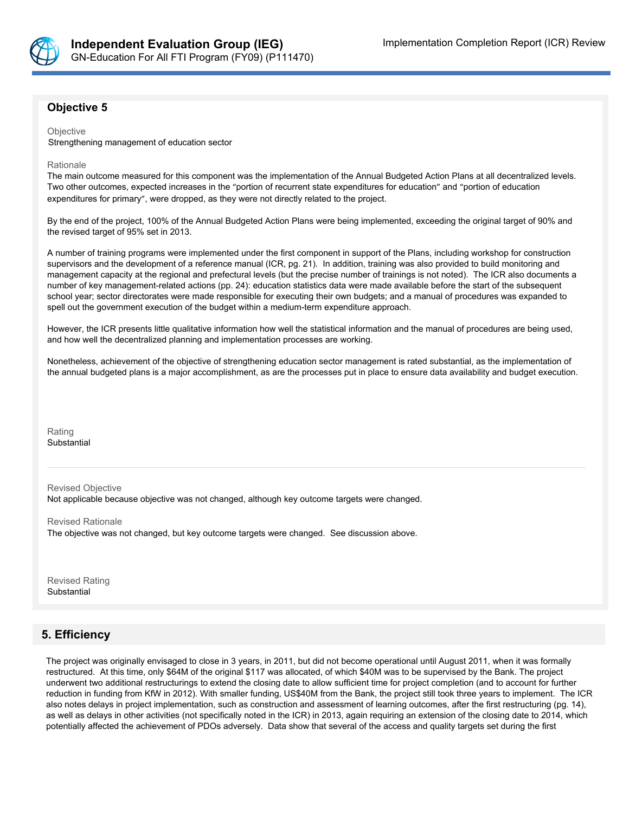

## **Objective 5**

**Objective** 

Strengthening management of education sector

#### Rationale

The main outcome measured for this component was the implementation of the Annual Budgeted Action Plans at all decentralized levels. Two other outcomes, expected increases in the "portion of recurrent state expenditures for education" and "portion of education expenditures for primary", were dropped, as they were not directly related to the project.

By the end of the project, 100% of the Annual Budgeted Action Plans were being implemented, exceeding the original target of 90% and the revised target of 95% set in 2013.

A number of training programs were implemented under the first component in support of the Plans, including workshop for construction supervisors and the development of a reference manual (ICR, pg. 21). In addition, training was also provided to build monitoring and management capacity at the regional and prefectural levels (but the precise number of trainings is not noted). The ICR also documents a number of key management-related actions (pp. 24): education statistics data were made available before the start of the subsequent school year; sector directorates were made responsible for executing their own budgets; and a manual of procedures was expanded to spell out the government execution of the budget within a medium-term expenditure approach.

However, the ICR presents little qualitative information how well the statistical information and the manual of procedures are being used, and how well the decentralized planning and implementation processes are working.

Nonetheless, achievement of the objective of strengthening education sector management is rated substantial, as the implementation of the annual budgeted plans is a major accomplishment, as are the processes put in place to ensure data availability and budget execution.

Rating **Substantial** 

Revised Objective

Not applicable because objective was not changed, although key outcome targets were changed.

Revised Rationale

The objective was not changed, but key outcome targets were changed. See discussion above.

Revised Rating Substantial

# **5. Efficiency**

The project was originally envisaged to close in 3 years, in 2011, but did not become operational until August 2011, when it was formally restructured. At this time, only \$64M of the original \$117 was allocated, of which \$40M was to be supervised by the Bank. The project underwent two additional restructurings to extend the closing date to allow sufficient time for project completion (and to account for further reduction in funding from KfW in 2012). With smaller funding, US\$40M from the Bank, the project still took three years to implement. The ICR also notes delays in project implementation, such as construction and assessment of learning outcomes, after the first restructuring (pg. 14), as well as delays in other activities (not specifically noted in the ICR) in 2013, again requiring an extension of the closing date to 2014, which potentially affected the achievement of PDOs adversely. Data show that several of the access and quality targets set during the first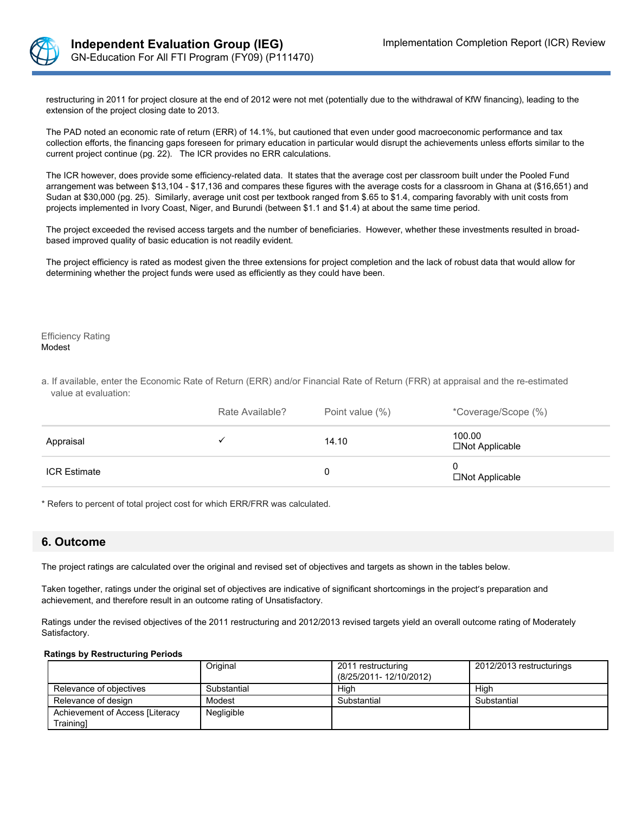

restructuring in 2011 for project closure at the end of 2012 were not met (potentially due to the withdrawal of KfW financing), leading to the extension of the project closing date to 2013.

The PAD noted an economic rate of return (ERR) of 14.1%, but cautioned that even under good macroeconomic performance and tax collection efforts, the financing gaps foreseen for primary education in particular would disrupt the achievements unless efforts similar to the current project continue (pg. 22). The ICR provides no ERR calculations.

The ICR however, does provide some efficiency-related data. It states that the average cost per classroom built under the Pooled Fund arrangement was between \$13,104 - \$17,136 and compares these figures with the average costs for a classroom in Ghana at (\$16,651) and Sudan at \$30,000 (pg. 25). Similarly, average unit cost per textbook ranged from \$.65 to \$1.4, comparing favorably with unit costs from projects implemented in Ivory Coast, Niger, and Burundi (between \$1.1 and \$1.4) at about the same time period.

The project exceeded the revised access targets and the number of beneficiaries. However, whether these investments resulted in broadbased improved quality of basic education is not readily evident.

The project efficiency is rated as modest given the three extensions for project completion and the lack of robust data that would allow for determining whether the project funds were used as efficiently as they could have been.

Efficiency Rating Modest

a. If available, enter the Economic Rate of Return (ERR) and/or Financial Rate of Return (FRR) at appraisal and the re-estimated value at evaluation:

|                     | Rate Available? | Point value (%) | *Coverage/Scope (%)                |
|---------------------|-----------------|-----------------|------------------------------------|
| Appraisal           |                 | 14.10           | 100.00<br>$\square$ Not Applicable |
| <b>ICR Estimate</b> |                 |                 | $\square$ Not Applicable           |

\* Refers to percent of total project cost for which ERR/FRR was calculated.

### **6. Outcome**

The project ratings are calculated over the original and revised set of objectives and targets as shown in the tables below.

Taken together, ratings under the original set of objectives are indicative of significant shortcomings in the project's preparation and achievement, and therefore result in an outcome rating of Unsatisfactory.

Ratings under the revised objectives of the 2011 restructuring and 2012/2013 revised targets yield an overall outcome rating of Moderately Satisfactory.

#### **Ratings by Restructuring Periods**

|                                 | Original    | 2011 restructuring<br>(8/25/2011-12/10/2012) | 2012/2013 restructurings |
|---------------------------------|-------------|----------------------------------------------|--------------------------|
| Relevance of objectives         | Substantial | High                                         | Hiah                     |
| Relevance of design             | Modest      | Substantial                                  | Substantial              |
| Achievement of Access [Literacy | Negligible  |                                              |                          |
| Training1                       |             |                                              |                          |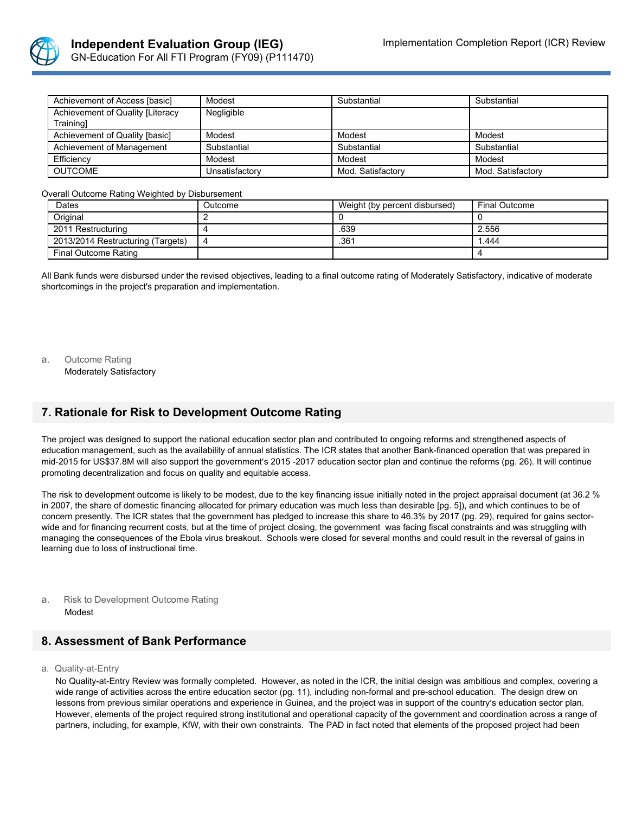

| Achievement of Access [basic]    | Modest         | Substantial       | Substantial       |
|----------------------------------|----------------|-------------------|-------------------|
| Achievement of Quality [Literacy | Negligible     |                   |                   |
| Trainingl                        |                |                   |                   |
| Achievement of Quality [basic]   | Modest         | Modest            | Modest            |
| Achievement of Management        | Substantial    | Substantial       | Substantial       |
| Efficiency                       | Modest         | Modest            | Modest            |
| <b>OUTCOME</b>                   | Unsatisfactorv | Mod. Satisfactory | Mod. Satisfactory |

Overall Outcome Rating Weighted by Disbursement

| Dates                             | Outcome | Weight (by percent disbursed) | <b>Final Outcome</b> |
|-----------------------------------|---------|-------------------------------|----------------------|
| Original                          |         |                               |                      |
| 2011 Restructuring                |         | .639                          | 2.556                |
| 2013/2014 Restructuring (Targets) | Δ       | .361                          | .444                 |
| Final Outcome Rating              |         |                               |                      |

All Bank funds were disbursed under the revised objectives, leading to a final outcome rating of Moderately Satisfactory, indicative of moderate shortcomings in the project's preparation and implementation.

a. Outcome Rating

Moderately Satisfactory

## **7. Rationale for Risk to Development Outcome Rating**

The project was designed to support the national education sector plan and contributed to ongoing reforms and strengthened aspects of education management, such as the availability of annual statistics. The ICR states that another Bank-financed operation that was prepared in mid-2015 for US\$37.8M will also support the government's 2015 -2017 education sector plan and continue the reforms (pg. 26). It will continue promoting decentralization and focus on quality and equitable access.

The risk to development outcome is likely to be modest, due to the key financing issue initially noted in the project appraisal document (at 36.2 % in 2007, the share of domestic financing allocated for primary education was much less than desirable [pg. 5]), and which continues to be of concern presently. The ICR states that the government has pledged to increase this share to 46.3% by 2017 (pg. 29), required for gains sectorwide and for financing recurrent costs, but at the time of project closing, the government was facing fiscal constraints and was struggling with managing the consequences of the Ebola virus breakout. Schools were closed for several months and could result in the reversal of gains in learning due to loss of instructional time.

a. Risk to Development Outcome Rating Modest

### **8. Assessment of Bank Performance**

a. Quality-at-Entry

No Quality-at-Entry Review was formally completed. However, as noted in the ICR, the initial design was ambitious and complex, covering a wide range of activities across the entire education sector (pg. 11), including non-formal and pre-school education. The design drew on lessons from previous similar operations and experience in Guinea, and the project was in support of the country's education sector plan. However, elements of the project required strong institutional and operational capacity of the government and coordination across a range of partners, including, for example, KfW, with their own constraints. The PAD in fact noted that elements of the proposed project had been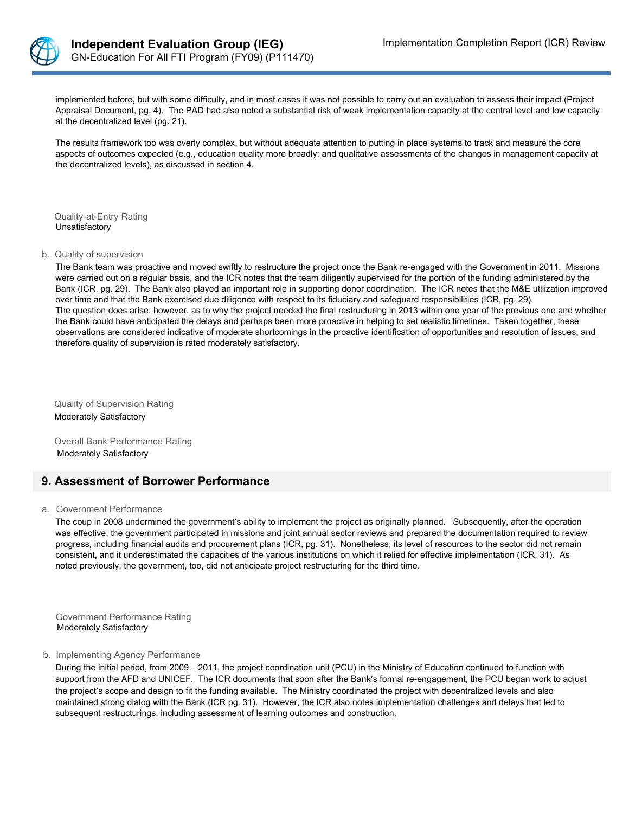

implemented before, but with some difficulty, and in most cases it was not possible to carry out an evaluation to assess their impact (Project Appraisal Document, pg. 4). The PAD had also noted a substantial risk of weak implementation capacity at the central level and low capacity at the decentralized level (pg. 21).

The results framework too was overly complex, but without adequate attention to putting in place systems to track and measure the core aspects of outcomes expected (e.g., education quality more broadly; and qualitative assessments of the changes in management capacity at the decentralized levels), as discussed in section 4.

Quality-at-Entry Rating Unsatisfactory

#### b. Quality of supervision

The Bank team was proactive and moved swiftly to restructure the project once the Bank re-engaged with the Government in 2011. Missions were carried out on a regular basis, and the ICR notes that the team diligently supervised for the portion of the funding administered by the Bank (ICR, pg. 29). The Bank also played an important role in supporting donor coordination. The ICR notes that the M&E utilization improved over time and that the Bank exercised due diligence with respect to its fiduciary and safeguard responsibilities (ICR, pg. 29). The question does arise, however, as to why the project needed the final restructuring in 2013 within one year of the previous one and whether the Bank could have anticipated the delays and perhaps been more proactive in helping to set realistic timelines. Taken together, these observations are considered indicative of moderate shortcomings in the proactive identification of opportunities and resolution of issues, and therefore quality of supervision is rated moderately satisfactory.

Quality of Supervision Rating Moderately Satisfactory

Overall Bank Performance Rating Moderately Satisfactory

### **9. Assessment of Borrower Performance**

#### a. Government Performance

The coup in 2008 undermined the government's ability to implement the project as originally planned. Subsequently, after the operation was effective, the government participated in missions and joint annual sector reviews and prepared the documentation required to review progress, including financial audits and procurement plans (ICR, pg. 31). Nonetheless, its level of resources to the sector did not remain consistent, and it underestimated the capacities of the various institutions on which it relied for effective implementation (ICR, 31). As noted previously, the government, too, did not anticipate project restructuring for the third time.

Government Performance Rating Moderately Satisfactory

#### b. Implementing Agency Performance

During the initial period, from 2009 – 2011, the project coordination unit (PCU) in the Ministry of Education continued to function with support from the AFD and UNICEF. The ICR documents that soon after the Bank's formal re-engagement, the PCU began work to adjust the project's scope and design to fit the funding available. The Ministry coordinated the project with decentralized levels and also maintained strong dialog with the Bank (ICR pg. 31). However, the ICR also notes implementation challenges and delays that led to subsequent restructurings, including assessment of learning outcomes and construction.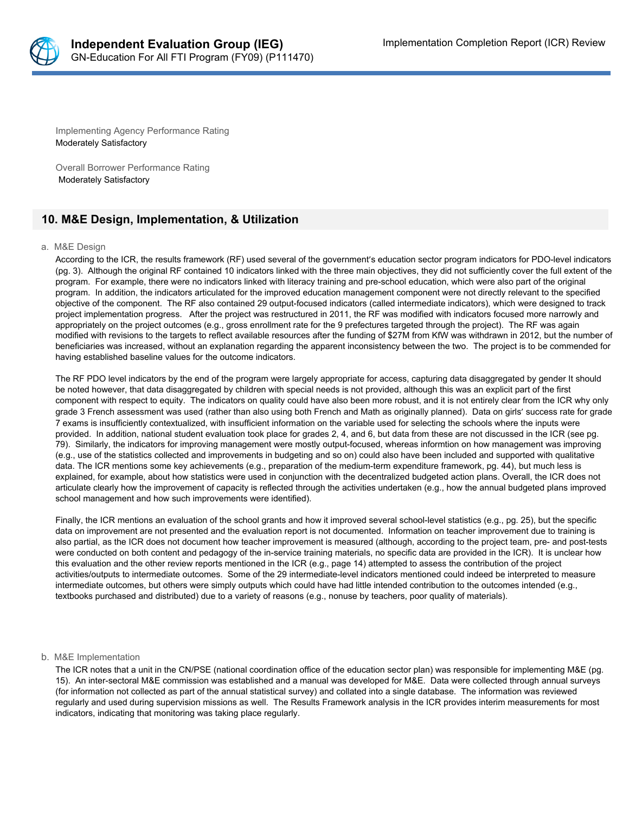

Implementing Agency Performance Rating Moderately Satisfactory

Overall Borrower Performance Rating Moderately Satisfactory

### **10. M&E Design, Implementation, & Utilization**

#### a. M&E Design

According to the ICR, the results framework (RF) used several of the government's education sector program indicators for PDO-level indicators (pg. 3). Although the original RF contained 10 indicators linked with the three main objectives, they did not sufficiently cover the full extent of the program. For example, there were no indicators linked with literacy training and pre-school education, which were also part of the original program. In addition, the indicators articulated for the improved education management component were not directly relevant to the specified objective of the component. The RF also contained 29 output-focused indicators (called intermediate indicators), which were designed to track project implementation progress. After the project was restructured in 2011, the RF was modified with indicators focused more narrowly and appropriately on the project outcomes (e.g., gross enrollment rate for the 9 prefectures targeted through the project). The RF was again modified with revisions to the targets to reflect available resources after the funding of \$27M from KfW was withdrawn in 2012, but the number of beneficiaries was increased, without an explanation regarding the apparent inconsistency between the two. The project is to be commended for having established baseline values for the outcome indicators.

The RF PDO level indicators by the end of the program were largely appropriate for access, capturing data disaggregated by gender It should be noted however, that data disaggregated by children with special needs is not provided, although this was an explicit part of the first component with respect to equity. The indicators on quality could have also been more robust, and it is not entirely clear from the ICR why only grade 3 French assessment was used (rather than also using both French and Math as originally planned). Data on girls' success rate for grade 7 exams is insufficiently contextualized, with insufficient information on the variable used for selecting the schools where the inputs were provided. In addition, national student evaluation took place for grades 2, 4, and 6, but data from these are not discussed in the ICR (see pg. 79). Similarly, the indicators for improving management were mostly output-focused, whereas informtion on how management was improving (e.g., use of the statistics collected and improvements in budgeting and so on) could also have been included and supported with qualitative data. The ICR mentions some key achievements (e.g., preparation of the medium-term expenditure framework, pg. 44), but much less is explained, for example, about how statistics were used in conjunction with the decentralized budgeted action plans. Overall, the ICR does not articulate clearly how the improvement of capacity is reflected through the activities undertaken (e.g., how the annual budgeted plans improved school management and how such improvements were identified).

Finally, the ICR mentions an evaluation of the school grants and how it improved several school-level statistics (e.g., pg. 25), but the specific data on improvement are not presented and the evaluation report is not documented. Information on teacher improvement due to training is also partial, as the ICR does not document how teacher improvement is measured (although, according to the project team, pre- and post-tests were conducted on both content and pedagogy of the in-service training materials, no specific data are provided in the ICR). It is unclear how this evaluation and the other review reports mentioned in the ICR (e.g., page 14) attempted to assess the contribution of the project activities/outputs to intermediate outcomes. Some of the 29 intermediate-level indicators mentioned could indeed be interpreted to measure intermediate outcomes, but others were simply outputs which could have had little intended contribution to the outcomes intended (e.g., textbooks purchased and distributed) due to a variety of reasons (e.g., nonuse by teachers, poor quality of materials).

#### b. M&E Implementation

The ICR notes that a unit in the CN/PSE (national coordination office of the education sector plan) was responsible for implementing M&E (pg. 15). An inter-sectoral M&E commission was established and a manual was developed for M&E. Data were collected through annual surveys (for information not collected as part of the annual statistical survey) and collated into a single database. The information was reviewed regularly and used during supervision missions as well. The Results Framework analysis in the ICR provides interim measurements for most indicators, indicating that monitoring was taking place regularly.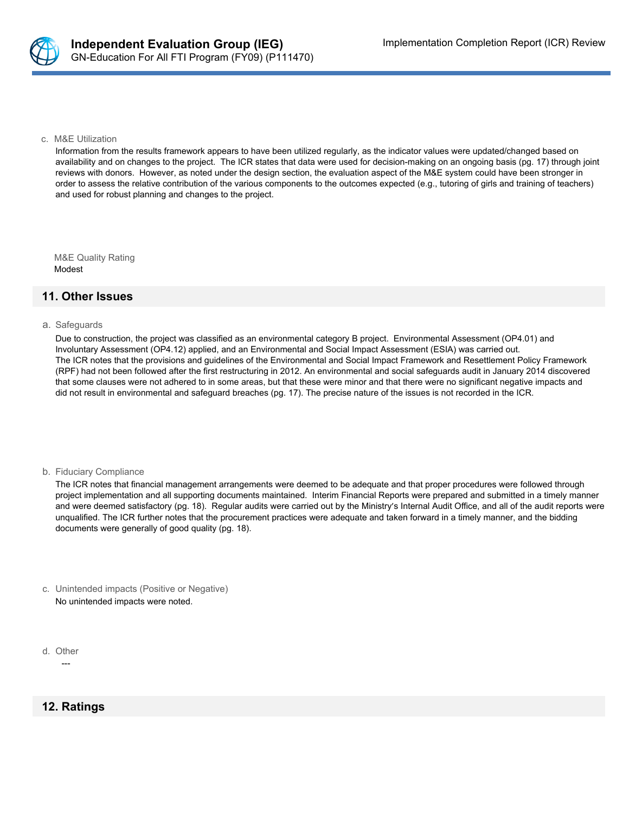

#### c. M&E Utilization

Information from the results framework appears to have been utilized regularly, as the indicator values were updated/changed based on availability and on changes to the project. The ICR states that data were used for decision-making on an ongoing basis (pg. 17) through joint reviews with donors. However, as noted under the design section, the evaluation aspect of the M&E system could have been stronger in order to assess the relative contribution of the various components to the outcomes expected (e.g., tutoring of girls and training of teachers) and used for robust planning and changes to the project.

M&E Quality Rating Modest

### **11. Other Issues**

#### a. Safeguards

Due to construction, the project was classified as an environmental category B project. Environmental Assessment (OP4.01) and Involuntary Assessment (OP4.12) applied, and an Environmental and Social Impact Assessment (ESIA) was carried out. The ICR notes that the provisions and guidelines of the Environmental and Social Impact Framework and Resettlement Policy Framework (RPF) had not been followed after the first restructuring in 2012. An environmental and social safeguards audit in January 2014 discovered that some clauses were not adhered to in some areas, but that these were minor and that there were no significant negative impacts and did not result in environmental and safeguard breaches (pg. 17). The precise nature of the issues is not recorded in the ICR.

b. Fiduciary Compliance

The ICR notes that financial management arrangements were deemed to be adequate and that proper procedures were followed through project implementation and all supporting documents maintained. Interim Financial Reports were prepared and submitted in a timely manner and were deemed satisfactory (pg. 18). Regular audits were carried out by the Ministry's Internal Audit Office, and all of the audit reports were unqualified. The ICR further notes that the procurement practices were adequate and taken forward in a timely manner, and the bidding documents were generally of good quality (pg. 18).

- c. Unintended impacts (Positive or Negative) No unintended impacts were noted.
- d. Other

---

### **12. Ratings**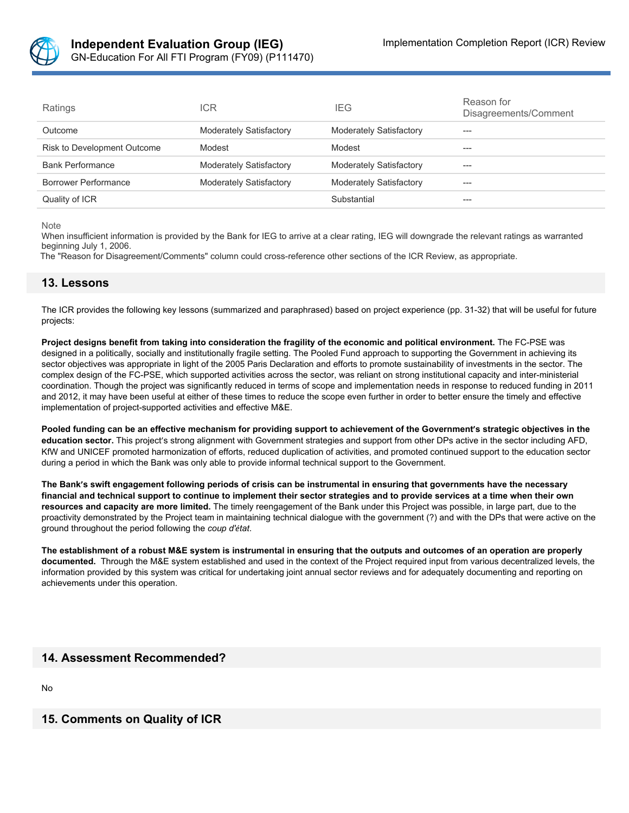

| Ratings                     | ICR                            | <b>IEG</b>                     | Reason for<br>Disagreements/Comment |
|-----------------------------|--------------------------------|--------------------------------|-------------------------------------|
| Outcome                     | <b>Moderately Satisfactory</b> | <b>Moderately Satisfactory</b> | ---                                 |
| Risk to Development Outcome | Modest                         | Modest                         | ---                                 |
| <b>Bank Performance</b>     | <b>Moderately Satisfactory</b> | <b>Moderately Satisfactory</b> | ---                                 |
| Borrower Performance        | <b>Moderately Satisfactory</b> | <b>Moderately Satisfactory</b> | ---                                 |
| Quality of ICR              |                                | Substantial                    | ---                                 |

Note

When insufficient information is provided by the Bank for IEG to arrive at a clear rating, IEG will downgrade the relevant ratings as warranted beginning July 1, 2006.

The "Reason for Disagreement/Comments" column could cross-reference other sections of the ICR Review, as appropriate.

### **13. Lessons**

The ICR provides the following key lessons (summarized and paraphrased) based on project experience (pp. 31-32) that will be useful for future projects:

Project designs benefit from taking into consideration the fragility of the economic and political environment. The FC-PSE was designed in a politically, socially and institutionally fragile setting. The Pooled Fund approach to supporting the Government in achieving its sector objectives was appropriate in light of the 2005 Paris Declaration and efforts to promote sustainability of investments in the sector. The complex design of the FC-PSE, which supported activities across the sector, was reliant on strong institutional capacity and inter-ministerial coordination. Though the project was significantly reduced in terms of scope and implementation needs in response to reduced funding in 2011 and 2012, it may have been useful at either of these times to reduce the scope even further in order to better ensure the timely and effective implementation of project-supported activities and effective M&E.

Pooled funding can be an effective mechanism for providing support to achievement of the Government's strategic objectives in the **education sector.** This project's strong alignment with Government strategies and support from other DPs active in the sector including AFD, KfW and UNICEF promoted harmonization of efforts, reduced duplication of activities, and promoted continued support to the education sector during a period in which the Bank was only able to provide informal technical support to the Government.

The Bank's swift engagement following periods of crisis can be instrumental in ensuring that governments have the necessary financial and technical support to continue to implement their sector strategies and to provide services at a time when their own **resources and capacity are more limited.** The timely reengagement of the Bank under this Project was possible, in large part, due to the proactivity demonstrated by the Project team in maintaining technical dialogue with the government (?) and with the DPs that were active on the ground throughout the period following the *coup d'état*.

The establishment of a robust M&E system is instrumental in ensuring that the outputs and outcomes of an operation are properly **documented.** Through the M&E system established and used in the context of the Project required input from various decentralized levels, the information provided by this system was critical for undertaking joint annual sector reviews and for adequately documenting and reporting on achievements under this operation.

### **14. Assessment Recommended?**

No

### **15. Comments on Quality of ICR**